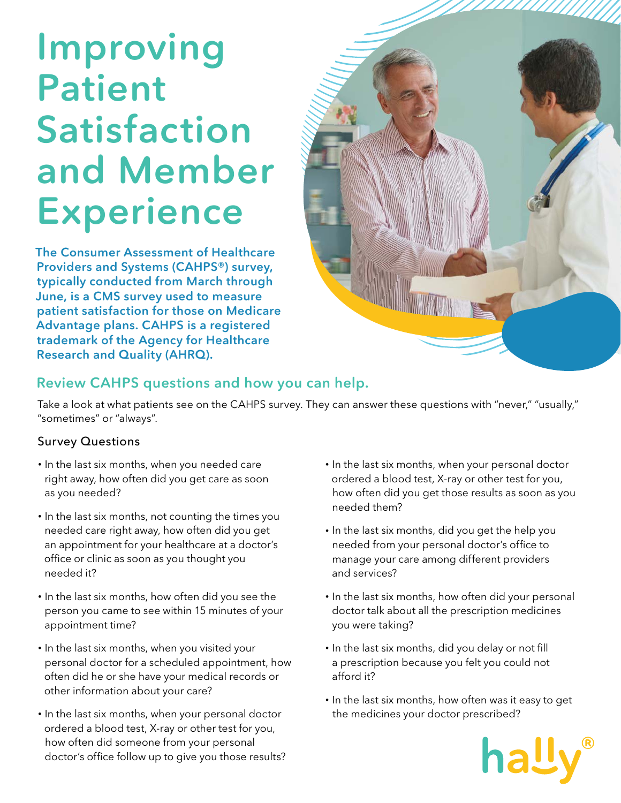# Improving Patient Satisfaction and Member Experience

The Consumer Assessment of Healthcare Providers and Systems (CAHPS®) survey, typically conducted from March through June, is a CMS survey used to measure patient satisfaction for those on Medicare Advantage plans. CAHPS is a registered trademark of the Agency for Healthcare Research and Quality (AHRQ).



# Review CAHPS questions and how you can help.

Take a look at what patients see on the CAHPS survey. They can answer these questions with "never," "usually," "sometimes" or "always".

## Survey Questions

- In the last six months, when you needed care right away, how often did you get care as soon as you needed?
- In the last six months, not counting the times you needed care right away, how often did you get an appointment for your healthcare at a doctor's office or clinic as soon as you thought you needed it?
- In the last six months, how often did you see the person you came to see within 15 minutes of your appointment time?
- In the last six months, when you visited your personal doctor for a scheduled appointment, how often did he or she have your medical records or other information about your care?
- In the last six months, when your personal doctor ordered a blood test, X-ray or other test for you, how often did someone from your personal doctor's office follow up to give you those results?
- In the last six months, when your personal doctor ordered a blood test, X-ray or other test for you, how often did you get those results as soon as you needed them?
- In the last six months, did you get the help you needed from your personal doctor's office to manage your care among different providers and services?
- In the last six months, how often did your personal doctor talk about all the prescription medicines you were taking?
- In the last six months, did you delay or not fill a prescription because you felt you could not afford it?
- In the last six months, how often was it easy to get the medicines your doctor prescribed?